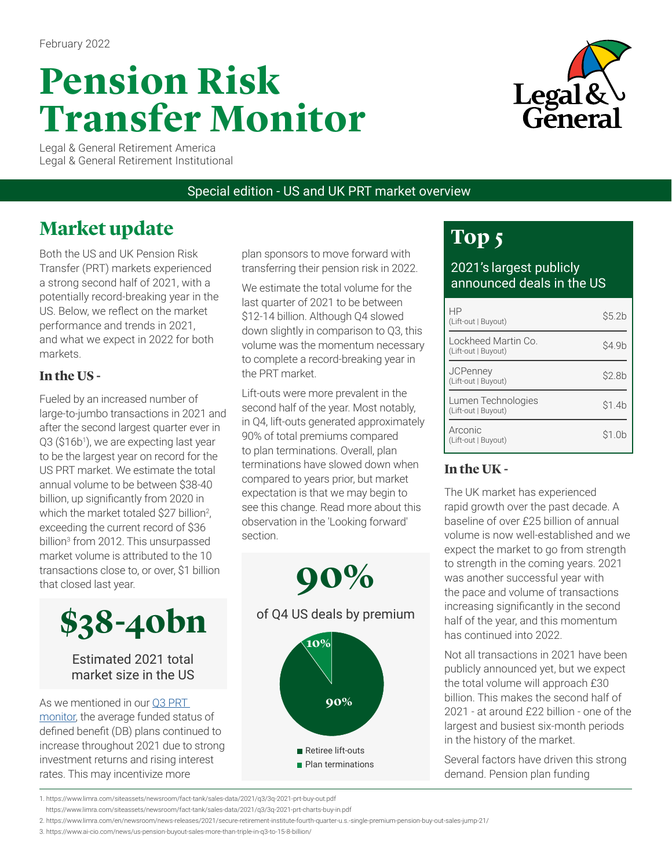# **Pension Risk Transfer Monitor**



Legal & General Retirement America Legal & General Retirement Institutional

Special edition - US and UK PRT market overview

# **Market update**

Both the US and UK Pension Risk Transfer (PRT) markets experienced a strong second half of 2021, with a potentially record-breaking year in the US. Below, we reflect on the market performance and trends in 2021, and what we expect in 2022 for both markets.

### **In the US -**

Fueled by an increased number of large-to-jumbo transactions in 2021 and after the second largest quarter ever in Q3 (\$16b1), we are expecting last year to be the largest year on record for the US PRT market. We estimate the total annual volume to be between \$38-40 billion, up significantly from 2020 in which the market totaled \$27 billion<sup>2</sup>, exceeding the current record of \$36 billion<sup>3</sup> from 2012. This unsurpassed market volume is attributed to the 10 transactions close to, or over, \$1 billion that closed last year.



#### Estimated 2021 total market size in the US

As we mentioned in our [Q3 PRT](https://www.lgra.com/docs/librariesprovider3/lgra--knowledge-center/october-2021.pdf?sfvrsn=de9eba62_29)  [monitor,](https://www.lgra.com/docs/librariesprovider3/lgra--knowledge-center/october-2021.pdf?sfvrsn=de9eba62_29) the average funded status of defined benefit (DB) plans continued to increase throughout 2021 due to strong investment returns and rising interest rates. This may incentivize more

1

plan sponsors to move forward with transferring their pension risk in 2022.

We estimate the total volume for the last quarter of 2021 to be between \$12-14 billion. Although Q4 slowed down slightly in comparison to Q3, this volume was the momentum necessary to complete a record-breaking year in the PRT market.

Lift-outs were more prevalent in the second half of the year. Most notably, in Q4, lift-outs generated approximately 90% of total premiums compared to plan terminations. Overall, plan terminations have slowed down when compared to years prior, but market expectation is that we may begin to see this change. Read more about this observation in the 'Looking forward' section.



# **Top 5**

2021's largest publicly announced deals in the US

| HP<br>(Lift-out   Buyout)                  | \$5.2 <sub>b</sub> |
|--------------------------------------------|--------------------|
| Lockheed Martin Co.<br>(Lift-out   Buyout) | \$4.9b             |
| <b>JCPenney</b><br>(Lift-out   Buyout)     | \$2.8b             |
| Lumen Technologies<br>(Lift-out   Buyout)  | \$1.4b             |
| Arconic<br>(Lift-out   Buyout)             | \$1.0b             |

### **In the UK -**

The UK market has experienced rapid growth over the past decade. A baseline of over £25 billion of annual volume is now well-established and we expect the market to go from strength to strength in the coming years. 2021 was another successful year with the pace and volume of transactions increasing significantly in the second half of the year, and this momentum has continued into 2022.

Not all transactions in 2021 have been publicly announced yet, but we expect the total volume will approach £30 billion. This makes the second half of 2021 - at around £22 billion - one of the largest and busiest six-month periods in the history of the market.

Several factors have driven this strong demand. Pension plan funding

<sup>2</sup> 1. https://www.limra.com/siteassets/newsroom/fact-tank/sales-data/2021/q3/3q-2021-prt-buy-out.pdf

https://www.limra.com/siteassets/newsroom/fact-tank/sales-data/2021/q3/3q-2021-prt-charts-buy-in.pdf

<sup>3</sup> 2. https://www.limra.com/en/newsroom/news-releases/2021/secure-retirement-institute-fourth-quarter-u.s.-single-premium-pension-buy-out-sales-jump-21/

<sup>3.</sup> https://www.ai-cio.com/news/us-pension-buyout-sales-more-than-triple-in-q3-to-15-8-billion/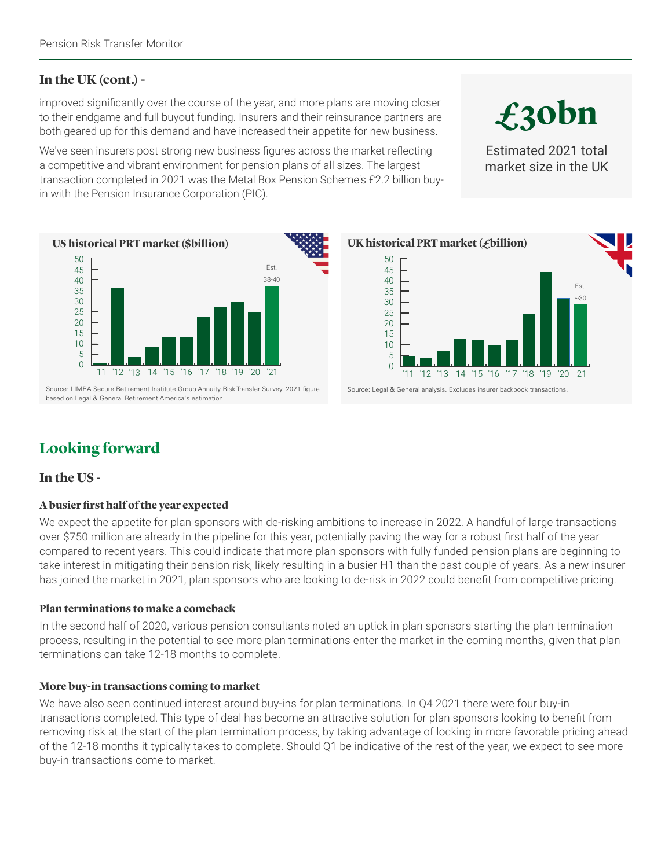#### **In the UK (cont.) -**

improved significantly over the course of the year, and more plans are moving closer to their endgame and full buyout funding. Insurers and their reinsurance partners are both geared up for this demand and have increased their appetite for new business.

We've seen insurers post strong new business figures across the market reflecting a competitive and vibrant environment for pension plans of all sizes. The largest transaction completed in 2021 was the Metal Box Pension Scheme's £2.2 billion buyin with the Pension Insurance Corporation (PIC).



Source: LIMRA Secure Retirement Institute Group Annuity Risk Transfer Survey. 2021 figure based on Legal & General Retirement America's estimation.



# **Looking forward**

#### **In the US -**

#### **A busier first half of the year expected**

We expect the appetite for plan sponsors with de-risking ambitions to increase in 2022. A handful of large transactions over \$750 million are already in the pipeline for this year, potentially paving the way for a robust first half of the year compared to recent years. This could indicate that more plan sponsors with fully funded pension plans are beginning to take interest in mitigating their pension risk, likely resulting in a busier H1 than the past couple of years. As a new insurer has joined the market in 2021, plan sponsors who are looking to de-risk in 2022 could benefit from competitive pricing.

#### **Plan terminations to make a comeback**

In the second half of 2020, various pension consultants noted an uptick in plan sponsors starting the plan termination process, resulting in the potential to see more plan terminations enter the market in the coming months, given that plan terminations can take 12-18 months to complete.

#### **More buy-in transactions coming to market**

We have also seen continued interest around buy-ins for plan terminations. In Q4 2021 there were four buy-in transactions completed. This type of deal has become an attractive solution for plan sponsors looking to benefit from removing risk at the start of the plan termination process, by taking advantage of locking in more favorable pricing ahead of the 12-18 months it typically takes to complete. Should Q1 be indicative of the rest of the year, we expect to see more buy-in transactions come to market.

**£30bn**

Estimated 2021 total market size in the UK